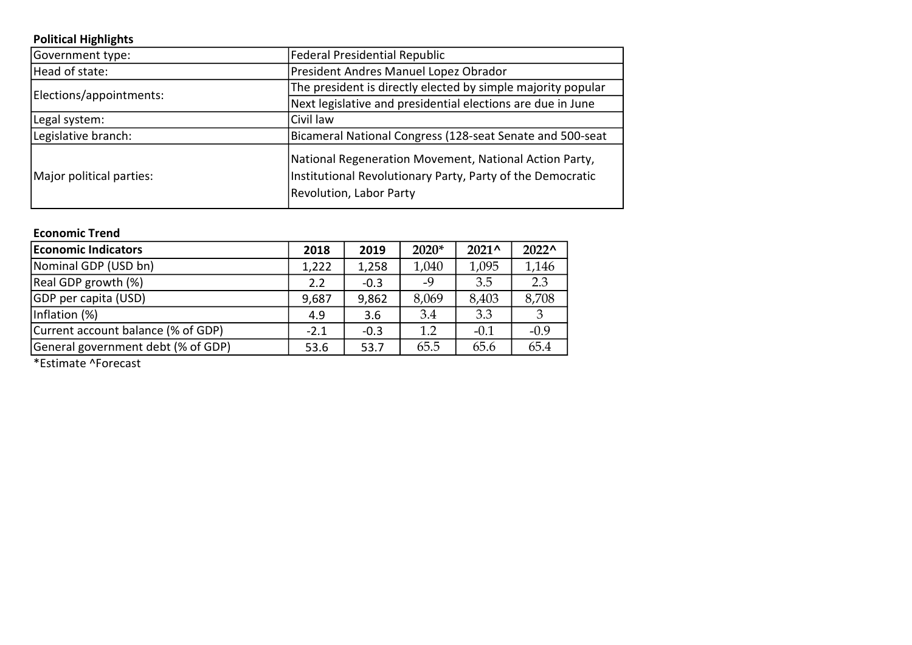## Political Highlights

| Government type:         | <b>Federal Presidential Republic</b>                                                                                                            |
|--------------------------|-------------------------------------------------------------------------------------------------------------------------------------------------|
| Head of state:           | President Andres Manuel Lopez Obrador                                                                                                           |
| Elections/appointments:  | The president is directly elected by simple majority popular                                                                                    |
|                          | Next legislative and presidential elections are due in June                                                                                     |
| Legal system:            | Civil law                                                                                                                                       |
| Legislative branch:      | Bicameral National Congress (128-seat Senate and 500-seat                                                                                       |
| Major political parties: | National Regeneration Movement, National Action Party,<br>Institutional Revolutionary Party, Party of the Democratic<br>Revolution, Labor Party |

## Economic Trend

| <b>Economic Indicators</b>         | 2018   | 2019   | $2020*$ | $2021^{\circ}$ | $2022^{\circ}$ |
|------------------------------------|--------|--------|---------|----------------|----------------|
| Nominal GDP (USD bn)               | 1,222  | 1,258  | 1,040   | 1,095          | 1,146          |
| Real GDP growth (%)                | 2.2    | $-0.3$ | -9      | 3.5            | 2.3            |
| GDP per capita (USD)               | 9,687  | 9,862  | 8,069   | 8,403          | 8,708          |
| Inflation (%)                      | 4.9    | 3.6    | 3.4     | 3.3            |                |
| Current account balance (% of GDP) | $-2.1$ | $-0.3$ | 1.2     | $-0.1$         | $-0.9$         |
| General government debt (% of GDP) | 53.6   | 53.7   | 65.5    | 65.6           | 65.4           |

\*Estimate ^Forecast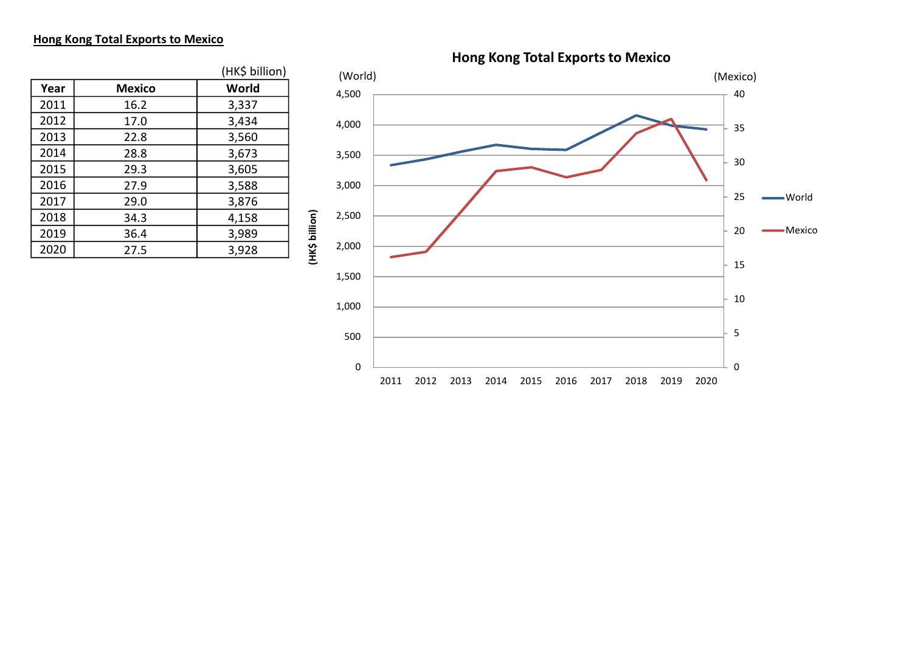#### Hong Kong Total Exports to Mexico





Hong Kong Total Exports to Mexico